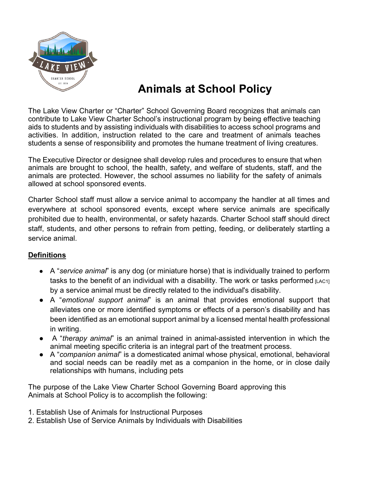

# **Animals at School Policy**

The Lake View Charter or "Charter" School Governing Board recognizes that animals can contribute to Lake View Charter School's instructional program by being effective teaching aids to students and by assisting individuals with disabilities to access school programs and activities. In addition, instruction related to the care and treatment of animals teaches students a sense of responsibility and promotes the humane treatment of living creatures.

The Executive Director or designee shall develop rules and procedures to ensure that when animals are brought to school, the health, safety, and welfare of students, staff, and the animals are protected. However, the school assumes no liability for the safety of animals allowed at school sponsored events.

Charter School staff must allow a service animal to accompany the handler at all times and everywhere at school sponsored events, except where service animals are specifically prohibited due to health, environmental, or safety hazards. Charter School staff should direct staff, students, and other persons to refrain from petting, feeding, or deliberately startling a service animal.

# **Definitions**

- A "*service animal*" is any dog (or miniature horse) that is individually trained to perform tasks to the benefit of an individual with a disability. The work or tasks performed  $[LaC1]$ by a service animal must be directly related to the individual's disability.
- A "*emotional support animal*" is an animal that provides emotional support that alleviates one or more identified symptoms or effects of a person's disability and has been identified as an emotional support animal by a licensed mental health professional in writing.
- A "*therapy animal*" is an animal trained in animal-assisted intervention in which the animal meeting specific criteria is an integral part of the treatment process.
- A "*companion animal*" is a domesticated animal whose physical, emotional, behavioral and social needs can be readily met as a companion in the home, or in close daily relationships with humans, including pets

The purpose of the Lake View Charter School Governing Board approving this Animals at School Policy is to accomplish the following:

- 1. Establish Use of Animals for Instructional Purposes
- 2. Establish Use of Service Animals by Individuals with Disabilities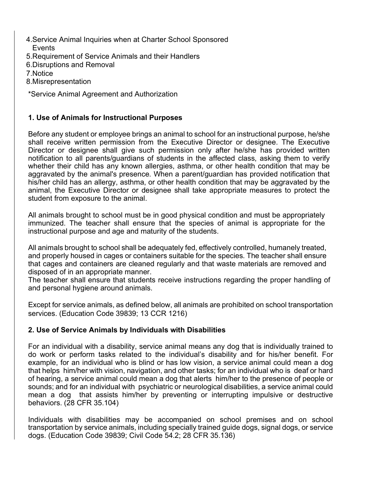- 4.Service Animal Inquiries when at Charter School Sponsored Events
- 5.Requirement of Service Animals and their Handlers
- 6.Disruptions and Removal

7.Notice

- 8.Misrepresentation
- \*Service Animal Agreement and Authorization

# **1. Use of Animals for Instructional Purposes**

Before any student or employee brings an animal to school for an instructional purpose, he/she shall receive written permission from the Executive Director or designee. The Executive Director or designee shall give such permission only after he/she has provided written notification to all parents/guardians of students in the affected class, asking them to verify whether their child has any known allergies, asthma, or other health condition that may be aggravated by the animal's presence. When a parent/guardian has provided notification that his/her child has an allergy, asthma, or other health condition that may be aggravated by the animal, the Executive Director or designee shall take appropriate measures to protect the student from exposure to the animal.

All animals brought to school must be in good physical condition and must be appropriately immunized. The teacher shall ensure that the species of animal is appropriate for the instructional purpose and age and maturity of the students.

All animals brought to school shall be adequately fed, effectively controlled, humanely treated, and properly housed in cages or containers suitable for the species. The teacher shall ensure that cages and containers are cleaned regularly and that waste materials are removed and disposed of in an appropriate manner.

The teacher shall ensure that students receive instructions regarding the proper handling of and personal hygiene around animals.

Except for service animals, as defined below, all animals are prohibited on school transportation services. (Education Code 39839; 13 CCR 1216)

# **2. Use of Service Animals by Individuals with Disabilities**

For an individual with a disability, service animal means any dog that is individually trained to do work or perform tasks related to the individual's disability and for his/her benefit. For example, for an individual who is blind or has low vision, a service animal could mean a dog that helps him/her with vision, navigation, and other tasks; for an individual who is deaf or hard of hearing, a service animal could mean a dog that alerts him/her to the presence of people or sounds; and for an individual with psychiatric or neurological disabilities, a service animal could mean a dog that assists him/her by preventing or interrupting impulsive or destructive behaviors. (28 CFR 35.104)

Individuals with disabilities may be accompanied on school premises and on school transportation by service animals, including specially trained guide dogs, signal dogs, or service dogs. (Education Code 39839; Civil Code 54.2; 28 CFR 35.136)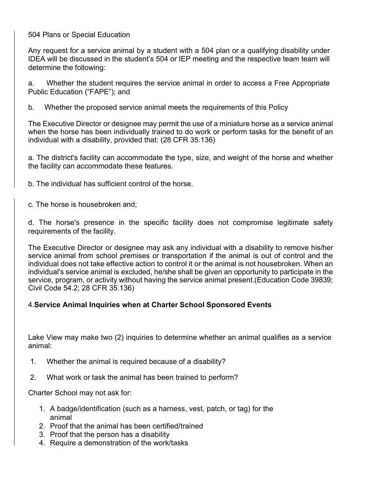504 Plans or Special Education

Any request for a service animal by a student with a 504 plan or a qualifying disability under IDEA will be discussed in the student's 504 or IEP meeting and the respective team team will determine the following:

a. Whether the student requires the service animal in order to access a Free Appropriate Public Education ("FAPE"); and

b. Whether the proposed service animal meets the requirements of this Policy

The Executive Director or designee may permit the use of a miniature horse as a service animal when the horse has been individually trained to do work or perform tasks for the benefit of an individual with a disability, provided that: (28 CFR 35.136)

a. The district's facility can accommodate the type, size, and weight of the horse and whether the facility can accommodate these features.

b. The individual has sufficient control of the horse.

c. The horse is housebroken and;

d. The horse's presence in the specific facility does not compromise legitimate safety requirements of the facility.

The Executive Director or designee may ask any individual with a disability to remove his/her service animal from school premises or transportation if the animal is out of control and the individual does not take effective action to control it or the animal is not housebroken. When an individual's service animal is excluded, he/she shall be given an opportunity to participate in the service, program, or activity without having the service animal present.(Education Code 39839; Civil Code 54.2; 28 CFR 35.136)

# 4.**Service Animal Inquiries when at Charter School Sponsored Events**

Lake View may make two (2) inquiries to determine whether an animal qualifies as a service animal:

- 1. Whether the animal is required because of a disability?
- 2. What work or task the animal has been trained to perform?

Charter School may not ask for:

- 1. A badge/identification (such as a harness, vest, patch, or tag) for the animal
- 2. Proof that the animal has been certified/trained
- 3. Proof that the person has a disability
- 4. Require a demonstration of the work/tasks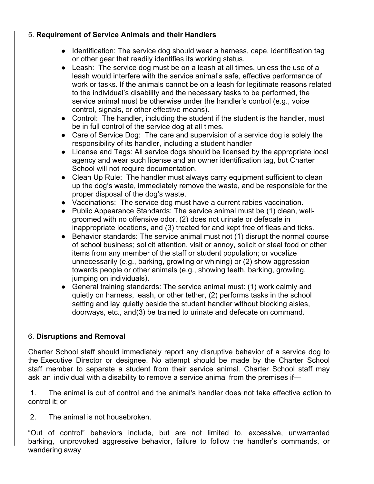# 5. **Requirement of Service Animals and their Handlers**

- Identification: The service dog should wear a harness, cape, identification tag or other gear that readily identifies its working status.
- Leash: The service dog must be on a leash at all times, unless the use of a leash would interfere with the service animal's safe, effective performance of work or tasks. If the animals cannot be on a leash for legitimate reasons related to the individual's disability and the necessary tasks to be performed, the service animal must be otherwise under the handler's control (e.g., voice control, signals, or other effective means).
- Control: The handler, including the student if the student is the handler, must be in full control of the service dog at all times.
- Care of Service Dog: The care and supervision of a service dog is solely the responsibility of its handler, including a student handler
- License and Tags: All service dogs should be licensed by the appropriate local agency and wear such license and an owner identification tag, but Charter School will not require documentation.
- Clean Up Rule: The handler must always carry equipment sufficient to clean up the dog's waste, immediately remove the waste, and be responsible for the proper disposal of the dog's waste.
- Vaccinations: The service dog must have a current rabies vaccination.
- Public Appearance Standards: The service animal must be (1) clean, wellgroomed with no offensive odor, (2) does not urinate or defecate in inappropriate locations, and (3) treated for and kept free of fleas and ticks.
- Behavior standards: The service animal must not (1) disrupt the normal course of school business; solicit attention, visit or annoy, solicit or steal food or other items from any member of the staff or student population; or vocalize unnecessarily (e.g., barking, growling or whining) or (2) show aggression towards people or other animals (e.g., showing teeth, barking, growling, jumping on individuals).
- General training standards: The service animal must: (1) work calmly and quietly on harness, leash, or other tether, (2) performs tasks in the school setting and lay quietly beside the student handler without blocking aisles, doorways, etc., and(3) be trained to urinate and defecate on command.

# 6. **Disruptions and Removal**

Charter School staff should immediately report any disruptive behavior of a service dog to the Executive Director or designee. No attempt should be made by the Charter School staff member to separate a student from their service animal. Charter School staff may ask an individual with a disability to remove a service animal from the premises if—

1. The animal is out of control and the animal's handler does not take effective action to control it; or

2. The animal is not housebroken.

"Out of control" behaviors include, but are not limited to, excessive, unwarranted barking, unprovoked aggressive behavior, failure to follow the handler's commands, or wandering away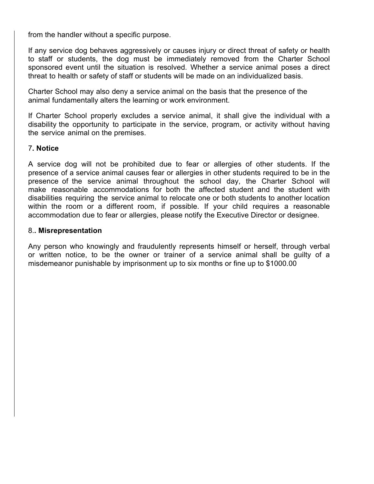from the handler without a specific purpose.

If any service dog behaves aggressively or causes injury or direct threat of safety or health to staff or students, the dog must be immediately removed from the Charter School sponsored event until the situation is resolved. Whether a service animal poses a direct threat to health or safety of staff or students will be made on an individualized basis.

Charter School may also deny a service animal on the basis that the presence of the animal fundamentally alters the learning or work environment.

If Charter School properly excludes a service animal, it shall give the individual with a disability the opportunity to participate in the service, program, or activity without having the service animal on the premises.

### 7**. Notice**

A service dog will not be prohibited due to fear or allergies of other students. If the presence of a service animal causes fear or allergies in other students required to be in the presence of the service animal throughout the school day, the Charter School will make reasonable accommodations for both the affected student and the student with disabilities requiring the service animal to relocate one or both students to another location within the room or a different room, if possible. If your child requires a reasonable accommodation due to fear or allergies, please notify the Executive Director or designee.

#### 8.**. Misrepresentation**

Any person who knowingly and fraudulently represents himself or herself, through verbal or written notice, to be the owner or trainer of a service animal shall be guilty of a misdemeanor punishable by imprisonment up to six months or fine up to \$1000.00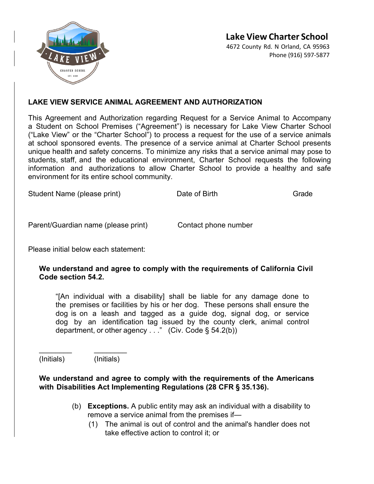

4672 County Rd. N Orland, CA 95963 Phone (916) 597-5877



# **LAKE VIEW SERVICE ANIMAL AGREEMENT AND AUTHORIZATION**

This Agreement and Authorization regarding Request for a Service Animal to Accompany a Student on School Premises ("Agreement") is necessary for Lake View Charter School ("Lake View" or the "Charter School") to process a request for the use of a service animals at school sponsored events. The presence of a service animal at Charter School presents unique health and safety concerns. To minimize any risks that a service animal may pose to students, staff, and the educational environment, Charter School requests the following information and authorizations to allow Charter School to provide a healthy and safe environment for its entire school community.

Student Name (please print) Date of Birth Grade

Parent/Guardian name (please print) Contact phone number

Please initial below each statement:

### **We understand and agree to comply with the requirements of California Civil Code section 54.2.**

"[An individual with a disability] shall be liable for any damage done to the premises or facilities by his or her dog. These persons shall ensure the dog is on a leash and tagged as a guide dog, signal dog, or service dog by an identification tag issued by the county clerk, animal control department, or other agency  $\ldots$ " (Civ. Code § 54.2(b))

(Initials) (Initials)

\_\_\_\_\_\_\_\_ \_\_\_\_\_\_\_\_

# **We understand and agree to comply with the requirements of the Americans with Disabilities Act Implementing Regulations (28 CFR § 35.136).**

- (b) **Exceptions.** A public entity may ask an individual with a disability to remove a service animal from the premises if—
	- (1) The animal is out of control and the animal's handler does not take effective action to control it; or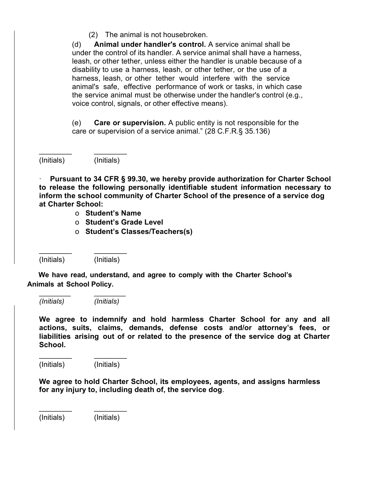(2) The animal is not housebroken.

(d) **Animal under handler's control.** A service animal shall be under the control of its handler. A service animal shall have a harness, leash, or other tether, unless either the handler is unable because of a disability to use a harness, leash, or other tether, or the use of a harness, leash, or other tether would interfere with the service animal's safe, effective performance of work or tasks, in which case the service animal must be otherwise under the handler's control (e.g., voice control, signals, or other effective means).

(e) **Care or supervision.** A public entity is not responsible for the care or supervision of a service animal." (28 C.F.R.§ 35.136)

(Initials) (Initials)

\_\_\_\_\_\_\_\_ \_\_\_\_\_\_\_\_

\_\_\_\_\_\_\_\_ \_\_\_\_\_\_\_\_

\_\_\_\_\_\_\_\_ \_\_\_\_\_\_\_\_

· **Pursuant to 34 CFR § 99.30, we hereby provide authorization for Charter School to release the following personally identifiable student information necessary to inform the school community of Charter School of the presence of a service dog at Charter School:**

- o **Student's Name**
- o **Student's Grade Level**
- o **Student's Classes/Teachers(s)**

(Initials) (Initials)

 **We have read, understand, and agree to comply with the Charter School's Animals at School Policy.**

*(Initials) (Initials)* 

**We agree to indemnify and hold harmless Charter School for any and all actions, suits, claims, demands, defense costs and/or attorney's fees, or liabilities arising out of or related to the presence of the service dog at Charter School.** 

(Initials) (Initials)

\_\_\_\_\_\_\_\_ \_\_\_\_\_\_\_\_

**We agree to hold Charter School, its employees, agents, and assigns harmless for any injury to, including death of, the service dog**.

(Initials) (Initials)

\_\_\_\_\_\_\_\_ \_\_\_\_\_\_\_\_